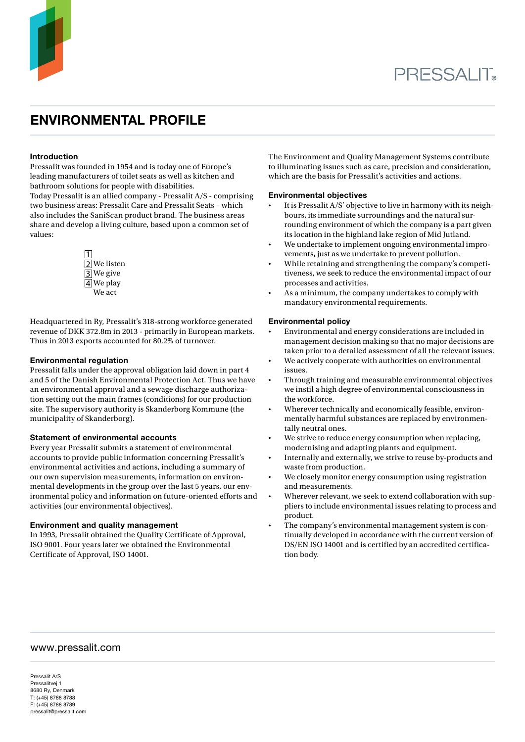

# environmental profile

# Introduction

Pressalit was founded in 1954 and is today one of Europe's leading manufacturers of toilet seats as well as kitchen and bathroom solutions for people with disabilities.

Today Pressalit is an allied company - Pressalit A/S - comprising two business areas: Pressalit Care and Pressalit Seats – which also includes the SaniScan product brand. The business areas share and develop a living culture, based upon a common set of values:



Headquartered in Ry, Pressalit's 318-strong workforce generated revenue of DKK 372.8m in 2013 - primarily in European markets. Thus in 2013 exports accounted for 80.2% of turnover.

### Environmental regulation

Pressalit falls under the approval obligation laid down in part 4 and 5 of the Danish Environmental Protection Act. Thus we have an environmental approval and a sewage discharge authorization setting out the main frames (conditions) for our production site. The supervisory authority is Skanderborg Kommune (the municipality of Skanderborg).

# Statement of environmental accounts

Every year Pressalit submits a statement of environmental accounts to provide public information concerning Pressalit's environmental activities and actions, including a summary of our own supervision measurements, information on environmental developments in the group over the last 5 years, our environmental policy and information on future-oriented efforts and activities (our environmental objectives).

### Environment and quality management

In 1993, Pressalit obtained the Quality Certificate of Approval, ISO 9001. Four years later we obtained the Environmental Certificate of Approval, ISO 14001.

The Environment and Quality Management Systems contribute to illuminating issues such as care, precision and consideration, which are the basis for Pressalit's activities and actions.

### Environmental objectives

- It is Pressalit  $A/S'$  objective to live in harmony with its neighbours, its immediate surroundings and the natural surrounding environment of which the company is a part given its location in the highland lake region of Mid Jutland.
- We undertake to implement ongoing environmental improvements, just as we undertake to prevent pollution.
- While retaining and strengthening the company's competitiveness, we seek to reduce the environmental impact of our processes and activities.
- As a minimum, the company undertakes to comply with mandatory environmental requirements.

# Environmental policy

- Environmental and energy considerations are included in management decision making so that no major decisions are taken prior to a detailed assessment of all the relevant issues.
- We actively cooperate with authorities on environmental issues.
- Through training and measurable environmental objectives we instil a high degree of environmental consciousness in the workforce.
- Wherever technically and economically feasible, environmentally harmful substances are replaced by environmentally neutral ones.
- We strive to reduce energy consumption when replacing, modernising and adapting plants and equipment.
- Internally and externally, we strive to reuse by-products and waste from production.
- We closely monitor energy consumption using registration and measurements.
- Wherever relevant, we seek to extend collaboration with suppliers to include environmental issues relating to process and product.
- The company's environmental management system is continually developed in accordance with the current version of DS/EN ISO 14001 and is certified by an accredited certification body.

# www.pressalit.com

Pressalit A/S Pressalitvej 1 8680 Ry, Denmark T: (+45) 8788 8788 F: (+45) 8788 8789 pressalit@pressalit.com